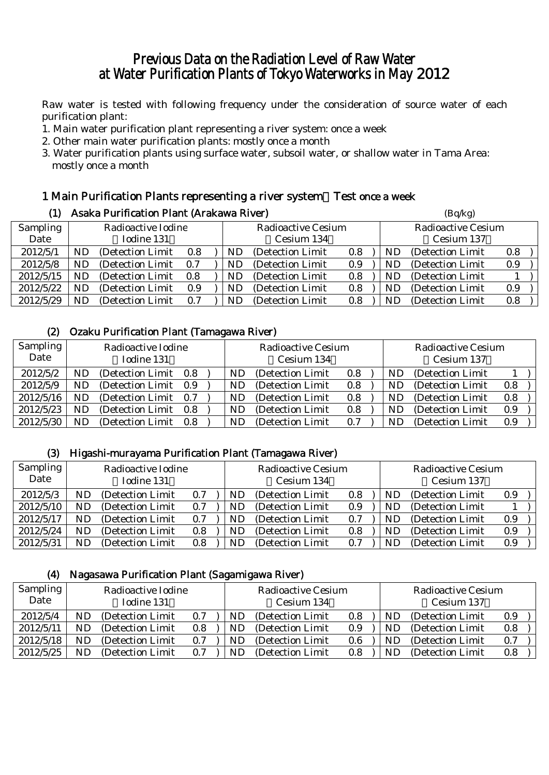# Previous Data on the Radiation Level of Raw Water at Water Purification Plants of Tokyo Waterworks in May 2012

Raw water is tested with following frequency under the consideration of source water of each purification plant:

- 1. Main water purification plant representing a river system: once a week
- 2. Other main water purification plants: mostly once a month
- 3. Water purification plants using surface water, subsoil water, or shallow water in Tama Area: mostly once a month

### 1 Main Purification Plants representing a river system:Test once a week

| (1)             |                    | Asaka Purification Plant (Arakawa River) |     | (Bq/kg)            |                   |     |                                |                   |     |  |
|-----------------|--------------------|------------------------------------------|-----|--------------------|-------------------|-----|--------------------------------|-------------------|-----|--|
| <b>Sampling</b> | Radioactive Iodine |                                          |     | Radioactive Cesium |                   |     | Radioactive Cesium             |                   |     |  |
| Date            |                    | Iodine 131                               |     |                    | Cesium 134        |     |                                | Cesium 137        |     |  |
| 2012/5/1        | ND                 | (Detection Limit)                        | 0.8 | ND                 | (Detection Limit) | 0.8 | (Detection Limit)<br>ND<br>0.8 |                   |     |  |
| 2012/5/8        | ND                 | (Detection Limit)                        | 0.7 | ND                 | (Detection Limit) | 0.9 | ND                             | (Detection Limit) | 0.9 |  |
| 2012/5/15       | ND                 | (Detection Limit)                        | 0.8 | ND                 | (Detection Limit) | 0.8 | ND                             | (Detection Limit) |     |  |
| 2012/5/22       | ND                 | (Detection Limit)                        | 0.9 | ND                 | (Detection Limit) | 0.8 | ND                             | (Detection Limit) | 0.9 |  |
| 2012/5/29       | ND                 | (Detection Limit)                        | 0.7 | ND                 | (Detection Limit) | 0.8 | ND                             | (Detection Limit) | 0.8 |  |

### (2) Ozaku Purification Plant (Tamagawa River)

| <b>Sampling</b><br>Date | Radioactive Iodine<br>Iodine 131 |                   |     | <b>Radioactive Cesium</b><br>Cesium 134 |                   |     | <b>Radioactive Cesium</b><br>Cesium 137 |                   |         |
|-------------------------|----------------------------------|-------------------|-----|-----------------------------------------|-------------------|-----|-----------------------------------------|-------------------|---------|
| 2012/5/2                | ND                               | (Detection Limit  | 0.8 | ND                                      | (Detection Limit) | 0.8 | ND                                      | (Detection Limit) |         |
| 2012/5/9                | ND                               | (Detection Limit) | 0.9 | ND                                      | (Detection Limit) | 0.8 | ND                                      | (Detection Limit) | 0.8     |
| 2012/5/16               | ND                               | (Detection Limit  | 0.7 | ND                                      | (Detection Limit) | 0.8 | ND                                      | (Detection Limit) | 0.8     |
| 2012/5/23               | ND                               | (Detection Limit) | 0.8 | ND                                      | (Detection Limit) | 0.8 | ND                                      | (Detection Limit) | $0.9\,$ |
| 2012/5/30               | ND                               | (Detection Limit) | 0.8 | ND                                      | (Detection Limit) | 0.7 | ND                                      | (Detection Limit) | 0.9     |

### (3) Higashi-murayama Purification Plant (Tamagawa River)

| Sampling<br>Date | Radioactive Iodine<br>Iodine 131 |                   |     | <b>Radioactive Cesium</b><br>Cesium 134 |                   |     | <b>Radioactive Cesium</b><br>Cesium 137 |    |                   |     |  |
|------------------|----------------------------------|-------------------|-----|-----------------------------------------|-------------------|-----|-----------------------------------------|----|-------------------|-----|--|
| 2012/5/3         | ND                               | (Detection Limit) | 0.7 | ND                                      | (Detection Limit) | 0.8 |                                         | ND | (Detection Limit) | 0.9 |  |
| 2012/5/10        | ND                               | (Detection Limit) | 0.7 | ND                                      | (Detection Limit) | 0.9 |                                         | ND | (Detection Limit) |     |  |
| 2012/5/17        | ND                               | (Detection Limit) | 0.7 | ND                                      | (Detection Limit) | 0.7 |                                         | ND | (Detection Limit) | 0.9 |  |
| 2012/5/24        | ND                               | (Detection Limit) | 0.8 | ND                                      | (Detection Limit) | 0.8 |                                         | ND | (Detection Limit) | 0.9 |  |
| 2012/5/31        | ND                               | (Detection Limit) | 0.8 | ND                                      | (Detection Limit) | 0.7 |                                         | ND | (Detection Limit) | 0.9 |  |

#### (4) Nagasawa Purification Plant (Sagamigawa River)

| <b>Sampling</b><br>Date | Radioactive Iodine<br>Iodine 131 |                   |     | <b>Radioactive Cesium</b><br>Cesium 134 |                   |     | <b>Radioactive Cesium</b><br>Cesium 137 |                   |     |
|-------------------------|----------------------------------|-------------------|-----|-----------------------------------------|-------------------|-----|-----------------------------------------|-------------------|-----|
| 2012/5/4                | ND                               | (Detection Limit) | 0.7 | ND                                      | (Detection Limit) | 0.8 | ND                                      | (Detection Limit) | 0.9 |
| 2012/5/11               | ND                               | (Detection Limit  | 0.8 | ND                                      | (Detection Limit) | 0.9 | ND                                      | (Detection Limit) | 0.8 |
| 2012/5/18               | ND                               | (Detection Limit) | 0.7 | ND                                      | (Detection Limit) | 0.6 | ND                                      | (Detection Limit) | 0.7 |
| 2012/5/25               | ND                               | (Detection Limit) | 0.7 | ND                                      | (Detection Limit) | 0.8 | ND                                      | (Detection Limit) | 0.8 |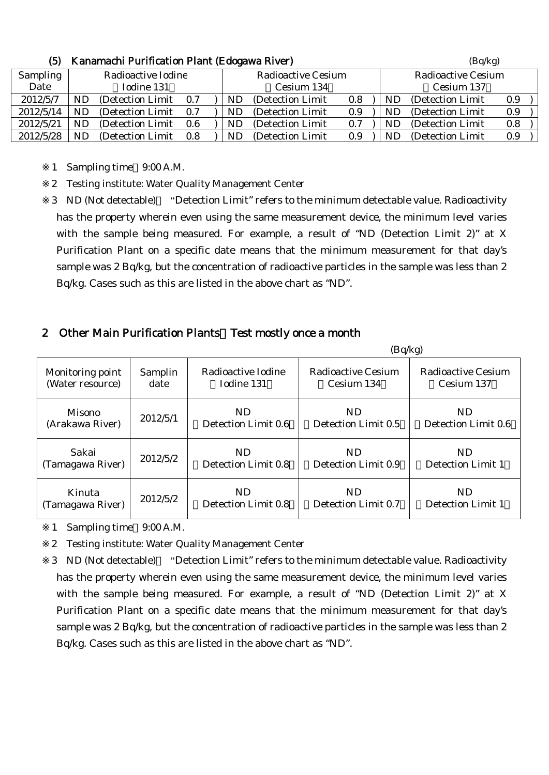| w               | Kanamachi Purincation Piant (Euogawa Kiver) |                   |     |                           |            |                   |                           |            |     | (DY/Kg)           |         |  |
|-----------------|---------------------------------------------|-------------------|-----|---------------------------|------------|-------------------|---------------------------|------------|-----|-------------------|---------|--|
| <b>Sampling</b> | Radioactive Iodine                          |                   |     | <b>Radioactive Cesium</b> |            |                   | <b>Radioactive Cesium</b> |            |     |                   |         |  |
| Date            |                                             | Iodine 131        |     |                           | Cesium 134 |                   |                           | Cesium 137 |     |                   |         |  |
| 2012/5/7        | ND                                          | (Detection Limit) | 0.7 |                           | ND         | (Detection Limit) | 0.8                       |            | ND  | (Detection Limit) | 0.9     |  |
| 2012/5/14       | ND.                                         | (Detection Limit) | 0.7 |                           | ND         | (Detection Limit) | 0.9                       |            | ND. | (Detection Limit) | 0.9     |  |
| 2012/5/21       | ND                                          | (Detection Limit) | 0.6 |                           | ND         | (Detection Limit) | 0.7                       |            | ND. | (Detection Limit) | 0.8     |  |
| 2012/5/28       | ND                                          | (Detection Limit) | 0.8 |                           | ND         | (Detection Limit) | 0.9                       |            | ND  | (Detection Limit) | $0.9\,$ |  |

#### (5)  $\boldsymbol{V}$  expansabi Purification Plant (Edogawa Piyer) (Bq/kg)

1 Sampling time 9:00 A.M.

2 Testing institute: Water Quality Management Center

3 ND (Not detectable) "Detection Limit" refers to the minimum detectable value. Radioactivity has the property wherein even using the same measurement device, the minimum level varies with the sample being measured. For example, a result of "ND (Detection Limit 2)" at X Purification Plant on a specific date means that the minimum measurement for that day's sample was 2 Bq/kg, but the concentration of radioactive particles in the sample was less than 2 Bq/kg. Cases such as this are listed in the above chart as "ND".

### 2 Other Main Purification Plants Test mostly once a month

|                  |          |                     | (Bq/kg)             |                     |
|------------------|----------|---------------------|---------------------|---------------------|
| Monitoring point | Samplin  | Radioactive Iodine  | Radioactive Cesium  | Radioactive Cesium  |
| (Water resource) | date     | Iodine 131          | Cesium 134          | Cesium 137          |
| Misono           | 2012/5/1 | ND.                 | ND.                 | ND.                 |
| (Arakawa River)  |          | Detection Limit 0.6 | Detection Limit 0.5 | Detection Limit 0.6 |
| Sakai            | 2012/5/2 | ND.                 | <b>ND</b>           | ND.                 |
| (Tamagawa River) |          | Detection Limit 0.8 | Detection Limit 0.9 | Detection Limit 1   |
| Kinuta           | 2012/5/2 | ND.                 | ND.                 | ND.                 |
| (Tamagawa River) |          | Detection Limit 0.8 | Detection Limit 0.7 | Detection Limit 1   |

1 Sampling time 9:00 A.M.

2 Testing institute: Water Quality Management Center

3 ND (Not detectable) "Detection Limit" refers to the minimum detectable value. Radioactivity has the property wherein even using the same measurement device, the minimum level varies with the sample being measured. For example, a result of "ND (Detection Limit 2)" at X Purification Plant on a specific date means that the minimum measurement for that day's sample was 2 Bq/kg, but the concentration of radioactive particles in the sample was less than 2 Bq/kg. Cases such as this are listed in the above chart as "ND".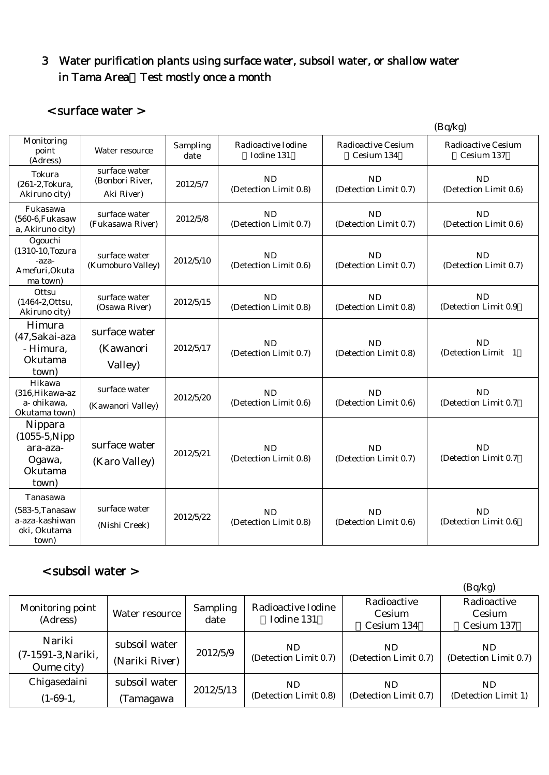# 3 Water purification plants using surface water, subsoil water, or shallow water in Tama Area Test mostly once a month

### < surface water >

|                                                                           |                                                |                  |                                    |                                         | (Bq/kg)                                 |
|---------------------------------------------------------------------------|------------------------------------------------|------------------|------------------------------------|-----------------------------------------|-----------------------------------------|
| Monitoring<br>point<br>(Adress)                                           | Water resource                                 | Sampling<br>date | Radioactive Iodine<br>Todine 131   | <b>Radioactive Cesium</b><br>Cesium 134 | <b>Radioactive Cesium</b><br>Cesium 137 |
| Tokura<br>(261-2, Tokura,<br>Akiruno city)                                | surface water<br>(Bonbori River,<br>Aki River) | 2012/5/7         | <b>ND</b><br>(Detection Limit 0.8) | <b>ND</b><br>(Detection Limit 0.7)      | <b>ND</b><br>(Detection Limit 0.6)      |
| Fukasawa<br>(560-6, Fukasaw<br>a, Akiruno city)                           | surface water<br>(Fukasawa River)              | 2012/5/8         | <b>ND</b><br>(Detection Limit 0.7) | <b>ND</b><br>(Detection Limit 0.7)      | ND<br>(Detection Limit 0.6)             |
| Ogouchi<br>(1310-10, Tozura<br>-aza-<br>Amefuri, Okuta<br>ma town)        | surface water<br>(Kumoburo Valley)             | 2012/5/10        | <b>ND</b><br>(Detection Limit 0.6) | <b>ND</b><br>(Detection Limit 0.7)      | <b>ND</b><br>(Detection Limit 0.7)      |
| Ottsu<br>(1464-2, Ottsu,<br>Akiruno city)                                 | surface water<br>(Osawa River)                 | 2012/5/15        | <b>ND</b><br>(Detection Limit 0.8) | <b>ND</b><br>(Detection Limit 0.8)      | <b>ND</b><br>(Detection Limit 0.9       |
| Himura<br>(47, Sakai-aza<br>- Himura,<br>Okutama<br>town)                 | surface water<br>(Kawanori<br>Valley)          | 2012/5/17        | <b>ND</b><br>(Detection Limit 0.7) | <b>ND</b><br>(Detection Limit 0.8)      | ND<br>(Detection Limit 1                |
| Hikawa<br>(316, Hikawa-az<br>a- ohikawa.<br>Okutama town)                 | surface water<br>(Kawanori Valley)             | 2012/5/20        | <b>ND</b><br>(Detection Limit 0.6) | <b>ND</b><br>(Detection Limit 0.6)      | <b>ND</b><br>(Detection Limit 0.7       |
| Nippara<br>$(1055-5)$ . Nipp<br>ara-aza-<br>Ogawa,<br>Okutama<br>town)    | surface water<br>(Karo Valley)                 | 2012/5/21        | <b>ND</b><br>(Detection Limit 0.8) | <b>ND</b><br>(Detection Limit 0.7)      | ND<br>(Detection Limit 0.7              |
| Tanasawa<br>$(583-5, Tanasaw)$<br>a-aza-kashiwan<br>oki, Okutama<br>town) | surface water<br>(Nishi Creek)                 | 2012/5/22        | <b>ND</b><br>(Detection Limit 0.8) | <b>ND</b><br>(Detection Limit 0.6)      | <b>ND</b><br>(Detection Limit 0.6       |

# < subsoil water >

|                                            |                                 |                  |                                  |                                     | (Bq/kg)                             |
|--------------------------------------------|---------------------------------|------------------|----------------------------------|-------------------------------------|-------------------------------------|
| Monitoring point<br>(Adress)               | Water resource                  | Sampling<br>date | Radioactive Iodine<br>Iodine 131 | Radioactive<br>Cesium<br>Cesium 134 | Radioactive<br>Cesium<br>Cesium 137 |
| Nariki<br>(7-1591-3, Nariki,<br>Oume city) | subsoil water<br>(Nariki River) | 2012/5/9         | ND<br>(Detection Limit 0.7)      | ND<br>(Detection Limit 0.7)         | ND.<br>(Detection Limit 0.7)        |
| Chigasedaini<br>$(1-69-1,$                 | subsoil water<br>Tamagawa       | 2012/5/13        | ND<br>(Detection Limit 0.8)      | ND.<br>(Detection Limit 0.7)        | ND.<br>(Detection Limit 1)          |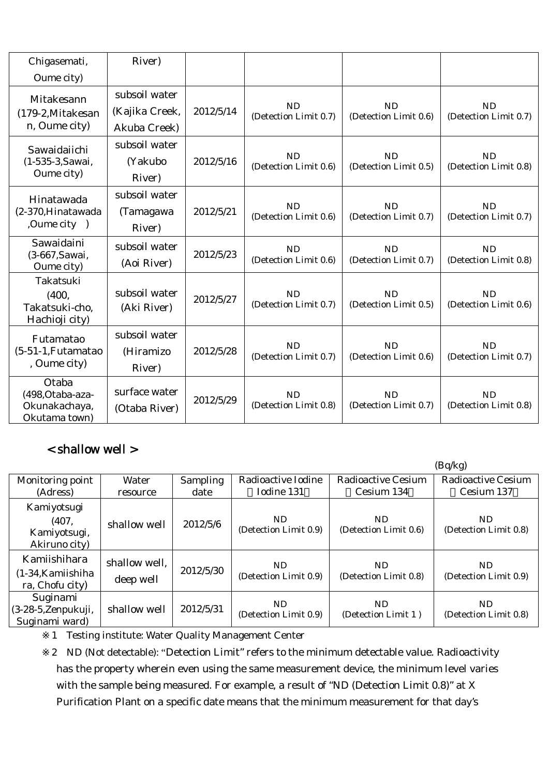| Chigasemati,                                                | River)                                          |           |                                    |                                    |                                    |
|-------------------------------------------------------------|-------------------------------------------------|-----------|------------------------------------|------------------------------------|------------------------------------|
| Oume city)                                                  |                                                 |           |                                    |                                    |                                    |
| Mitakesann<br>(179-2, Mitakesan<br>n, Oume city)            | subsoil water<br>(Kajika Creek,<br>Akuba Creek) | 2012/5/14 | <b>ND</b><br>(Detection Limit 0.7) | <b>ND</b><br>(Detection Limit 0.6) | <b>ND</b><br>(Detection Limit 0.7) |
| Sawaidaiichi<br>(1-535-3, Sawai,<br>Oume city)              | subsoil water<br>(Yakubo<br>River)              | 2012/5/16 | <b>ND</b><br>(Detection Limit 0.6) | <b>ND</b><br>(Detection Limit 0.5) | <b>ND</b><br>(Detection Limit 0.8) |
| Hinatawada<br>(2-370, Hinatawada<br>,Oume city )            | subsoil water<br>(Tamagawa<br>River)            | 2012/5/21 | <b>ND</b><br>(Detection Limit 0.6) | ND<br>(Detection Limit 0.7)        | <b>ND</b><br>(Detection Limit 0.7) |
| Sawaidaini<br>(3-667, Sawai,<br>Oume city)                  | subsoil water<br>(Aoi River)                    | 2012/5/23 | <b>ND</b><br>(Detection Limit 0.6) | <b>ND</b><br>(Detection Limit 0.7) | <b>ND</b><br>(Detection Limit 0.8) |
| Takatsuki<br>(400,<br>Takatsuki-cho,<br>Hachioji city)      | subsoil water<br>(Aki River)                    | 2012/5/27 | <b>ND</b><br>(Detection Limit 0.7) | ND<br>(Detection Limit 0.5)        | <b>ND</b><br>(Detection Limit 0.6) |
| Futamatao<br>$(5-51-1,$ Futamatao<br>, Oume city)           | subsoil water<br>(Hiramizo<br>River)            | 2012/5/28 | <b>ND</b><br>(Detection Limit 0.7) | ND.<br>(Detection Limit 0.6)       | <b>ND</b><br>(Detection Limit 0.7) |
| Otaba<br>(498, Otaba-aza-<br>Okunakachaya,<br>Okutama town) | surface water<br>(Otaba River)                  | 2012/5/29 | <b>ND</b><br>(Detection Limit 0.8) | <b>ND</b><br>(Detection Limit 0.7) | <b>ND</b><br>(Detection Limit 0.8) |

# < shallow well >

|                                                        |                            |                 |                              |                              | (Bq/kg)                      |
|--------------------------------------------------------|----------------------------|-----------------|------------------------------|------------------------------|------------------------------|
| Monitoring point                                       | Water                      | <b>Sampling</b> | Radioactive Iodine           | <b>Radioactive Cesium</b>    | <b>Radioactive Cesium</b>    |
| (Adress)                                               | resource                   | date            | Iodine 131                   | Cesium 134                   | Cesium 137                   |
| Kamiyotsugi<br>(407,<br>Kamiyotsugi,<br>Akiruno city)  | shallow well               | 2012/5/6        | ND.<br>(Detection Limit 0.9) | ND.<br>(Detection Limit 0.6) | ND.<br>(Detection Limit 0.8) |
| Kamiishihara<br>$(1-34)$ Kamiishiha<br>ra, Chofu city) | shallow well,<br>deep well | 2012/5/30       | ND.<br>(Detection Limit 0.9) | ND.<br>(Detection Limit 0.8) | ND.<br>(Detection Limit 0.9) |
| Suginami<br>$(3-28-5, Zenpukuji,$<br>Suginami ward)    | shallow well               | 2012/5/31       | ND.<br>(Detection Limit 0.9) | ND.<br>(Detection Limit 1)   | ND.<br>(Detection Limit 0.8) |

1 Testing institute: Water Quality Management Center

2 ND (Not detectable): "Detection Limit" refers to the minimum detectable value. Radioactivity has the property wherein even using the same measurement device, the minimum level varies with the sample being measured. For example, a result of "ND (Detection Limit 0.8)" at X Purification Plant on a specific date means that the minimum measurement for that day's